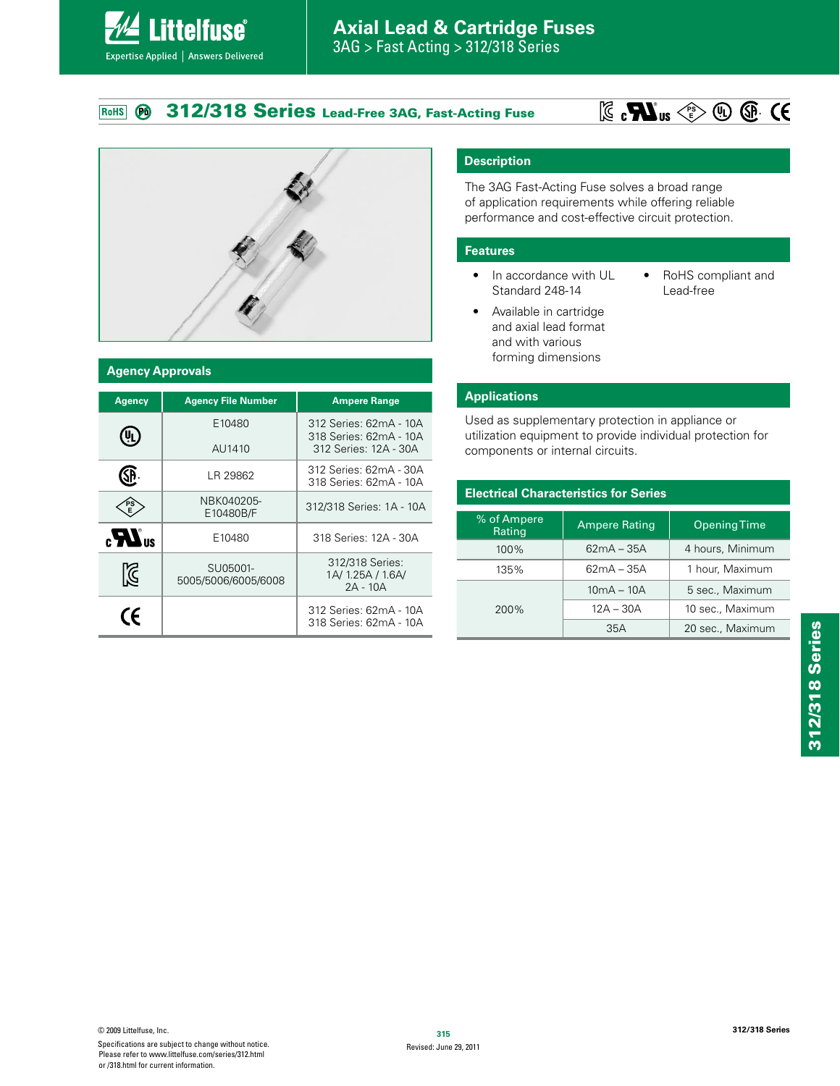#### **312/318 Series Lead-Free 3AG, Fast-Acting Fuse**  $RoHS$ Ø





**Littelfuse**®

Expertise Applied | Answers Delivered

### **Agency Approvals**

| <b>Agency</b>             | <b>Agency File Number</b>       | <b>Ampere Range</b>                                                       |  |  |
|---------------------------|---------------------------------|---------------------------------------------------------------------------|--|--|
| $\mathbf{U}_{\mathbf{L}}$ | E10480<br>AU1410                | 312 Series: 62mA - 10A<br>318 Series: 62mA - 10A<br>312 Series: 12A - 30A |  |  |
| SP.                       | LR 29862                        | 312 Series: 62mA - 30A<br>318 Series: 62mA - 10A                          |  |  |
| $P_{E}^{S}$               | NBK040205-<br>E10480B/F         | 312/318 Series: 1A - 10A                                                  |  |  |
| $\mathbf{r}$              | E10480                          | 318 Series: 12A - 30A                                                     |  |  |
| $\Im$                     | SU05001-<br>5005/5006/6005/6008 | 312/318 Series:<br>1A/1.25A/1.6A/<br>$2A - 10A$                           |  |  |
| CE                        |                                 | 312 Series: 62mA - 10A<br>318 Series: 62mA - 10A                          |  |  |

### **Description**

The 3AG Fast-Acting Fuse solves a broad range of application requirements while offering reliable performance and cost-effective circuit protection.

### **Features**

- In accordance with UL Standard 248-14
- RoHS compliant and Lead-free
- Available in cartridge and axial lead format and with various forming dimensions

### **Applications**

Used as supplementary protection in appliance or utilization equipment to provide individual protection for components or internal circuits.

| <b>Electrical Characteristics for Series</b> |                      |                     |  |  |  |
|----------------------------------------------|----------------------|---------------------|--|--|--|
| % of Ampere<br>Rating                        | <b>Ampere Rating</b> | <b>Opening Time</b> |  |  |  |
| 100%                                         | $62mA - 35A$         | 4 hours, Minimum    |  |  |  |
| 135%                                         | $62mA - 35A$         | 1 hour, Maximum     |  |  |  |
|                                              | $10mA - 10A$         | 5 sec., Maximum     |  |  |  |
| 200%                                         | $12A - 30A$          | 10 sec., Maximum    |  |  |  |
|                                              | 35A                  | 20 sec., Maximum    |  |  |  |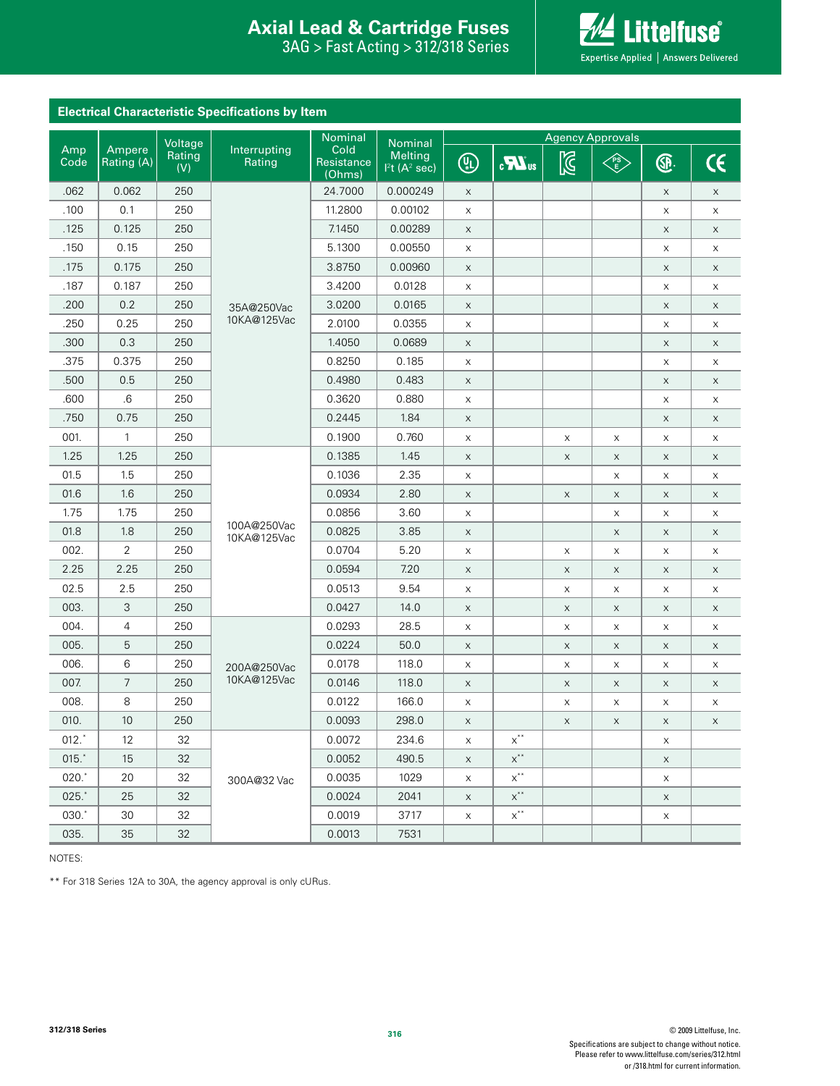### **Interproduced Avan Exists Protection Axial Lead & Cartridge Fuses Axial Lead & Cartridge Fuses**

312/318 Series 3AG > Fast Acting > 312/318 Series



| <b>Electrical Characteristic Specifications by Item</b> |                      |               |                            |                              |                                       |              |                                           |                           |             |             |             |
|---------------------------------------------------------|----------------------|---------------|----------------------------|------------------------------|---------------------------------------|--------------|-------------------------------------------|---------------------------|-------------|-------------|-------------|
|                                                         |                      | Voltage       |                            | Nominal                      | Nominal                               |              |                                           | <b>Agency Approvals</b>   |             |             |             |
| Amp<br>Code                                             | Ampere<br>Rating (A) | Rating<br>(V) | Interrupting<br>Rating     | Cold<br>Resistance<br>(Ohms) | Melting<br>$12t$ (A <sup>2</sup> sec) | $\circledR$  | $\mathbf{c}$ <b>N</b> <sub>us</sub>       | $\mathbb{Z}$              | E           | <b>®</b>    | $\epsilon$  |
| .062                                                    | 0.062                | 250           |                            | 24.7000                      | 0.000249                              | $\mathsf X$  |                                           |                           |             | $\mathsf X$ | $\mathsf X$ |
| .100                                                    | 0.1                  | 250           |                            | 11.2800                      | 0.00102                               | X            |                                           |                           |             | X           | $\mathsf X$ |
| .125                                                    | 0.125                | 250           |                            | 7.1450                       | 0.00289                               | $\mathsf X$  |                                           |                           |             | $\mathsf X$ | $\times$    |
| .150                                                    | 0.15                 | 250           |                            | 5.1300                       | 0.00550                               | X            |                                           |                           |             | X           | X           |
| .175                                                    | 0.175                | 250           |                            | 3.8750                       | 0.00960                               | $\mathsf{X}$ |                                           |                           |             | $\mathsf X$ | X           |
| .187                                                    | 0.187                | 250           |                            | 3.4200                       | 0.0128                                | X            |                                           |                           |             | X           | X           |
| .200                                                    | 0.2                  | 250           | 35A@250Vac                 | 3.0200                       | 0.0165                                | $\mathsf X$  |                                           |                           |             | X           | X           |
| .250                                                    | 0.25                 | 250           | 10KA@125Vac                | 2.0100                       | 0.0355                                | X            |                                           |                           |             | X           | $\times$    |
| .300                                                    | 0.3                  | 250           |                            | 1.4050                       | 0.0689                                | $\mathsf X$  |                                           |                           |             | $\mathsf X$ | X           |
| .375                                                    | 0.375                | 250           |                            | 0.8250                       | 0.185                                 | X            |                                           |                           |             | $\mathsf X$ | X           |
| .500                                                    | 0.5                  | 250           |                            | 0.4980                       | 0.483                                 | $\mathsf X$  |                                           |                           |             | $\mathsf X$ | X           |
| .600                                                    | .6                   | 250           |                            | 0.3620                       | 0.880                                 | X            |                                           |                           |             | X           | X           |
| .750                                                    | 0.75                 | 250           |                            | 0.2445                       | 1.84                                  | $\mathsf X$  |                                           |                           |             | $\mathsf X$ | $\mathsf X$ |
| 001.                                                    | 1                    | 250           |                            | 0.1900                       | 0.760                                 | X            |                                           | X                         | X           | X           | X           |
| 1.25                                                    | 1.25                 | 250           |                            | 0.1385                       | 1.45                                  | $\mathsf X$  |                                           | $\boldsymbol{\mathsf{X}}$ | $\mathsf X$ | $\mathsf X$ | $\mathsf X$ |
| 01.5                                                    | 1.5                  | 250           |                            | 0.1036                       | 2.35                                  | X            |                                           |                           | X           | X           | X           |
| 01.6                                                    | 1.6                  | 250           |                            | 0.0934                       | 2.80                                  | $\mathsf X$  |                                           | $\mathsf X$               | X           | X           | X           |
| 1.75                                                    | 1.75                 | 250           |                            | 0.0856                       | 3.60                                  | X            |                                           |                           | X           | X           | X           |
| 01.8                                                    | 1.8                  | 250           | 100A@250Vac<br>10KA@125Vac | 0.0825                       | 3.85                                  | $\mathsf X$  |                                           |                           | $\mathsf X$ | X           | X           |
| 002.                                                    | 2                    | 250           |                            | 0.0704                       | 5.20                                  | X            |                                           | $\mathsf X$               | X           | X           | $\mathsf X$ |
| 2.25                                                    | 2.25                 | 250           |                            | 0.0594                       | 7.20                                  | $\mathsf X$  |                                           | $\mathsf X$               | $\times$    | X           | $\mathsf X$ |
| 02.5                                                    | 2.5                  | 250           |                            | 0.0513                       | 9.54                                  | X            |                                           | X                         | X           | X           | X           |
| 003.                                                    | 3                    | 250           |                            | 0.0427                       | 14.0                                  | $\mathsf X$  |                                           | $\mathsf X$               | $\times$    | $\mathsf X$ | $\mathsf X$ |
| 004.                                                    | 4                    | 250           |                            | 0.0293                       | 28.5                                  | X            |                                           | $\boldsymbol{\mathsf{X}}$ | X           | X           | X           |
| 005.                                                    | 5                    | 250           |                            | 0.0224                       | 50.0                                  | $\mathsf X$  |                                           | $\mathsf X$               | $\times$    | X           | $\mathsf X$ |
| 006.                                                    | 6                    | 250           | 200A@250Vac                | 0.0178                       | 118.0                                 | X            |                                           | X                         | X           | X           | X           |
| 007.                                                    | 7                    | 250           | 10KA@125Vac                | 0.0146                       | 118.0                                 | X            |                                           | $\mathsf X$               | X           | X           | $\mathsf X$ |
| 008.                                                    | 8                    | 250           |                            | 0.0122                       | 166.0                                 | X            |                                           | $\boldsymbol{\mathsf{X}}$ | X           | X           | X           |
| 010.                                                    | $10$                 | 250           |                            | 0.0093                       | 298.0                                 | $\mathsf X$  |                                           | $\mathsf X$               | $\mathsf X$ | $\mathsf X$ | X           |
| $012.^*$                                                | 12                   | 32            |                            | 0.0072                       | 234.6                                 | X            | $\mathsf{x}^{**}$                         |                           |             | X           |             |
| 015.                                                    | 15                   | 32            |                            | 0.0052                       | 490.5                                 | X            | $\mathsf{X}^{**}$                         |                           |             | X           |             |
| 020.                                                    | 20                   | 32            | 300A@32 Vac                | 0.0035                       | 1029                                  | X            | $x^{\ast\ast}$                            |                           |             | X           |             |
| 025.                                                    | 25                   | 32            |                            | 0.0024                       | 2041                                  | $\mathsf X$  | $\mathsf{X}^{**}$                         |                           |             | $\mathsf X$ |             |
| 030.*                                                   | 30                   | 32            |                            | 0.0019                       | 3717                                  | X            | $\operatorname{\mathsf{X}}\nolimits^{**}$ |                           |             | X           |             |
| 035.                                                    | 35                   | 32            |                            | 0.0013                       | 7531                                  |              |                                           |                           |             |             |             |

NOTES:

\*\* For 318 Series 12A to 30A, the agency approval is only cURus.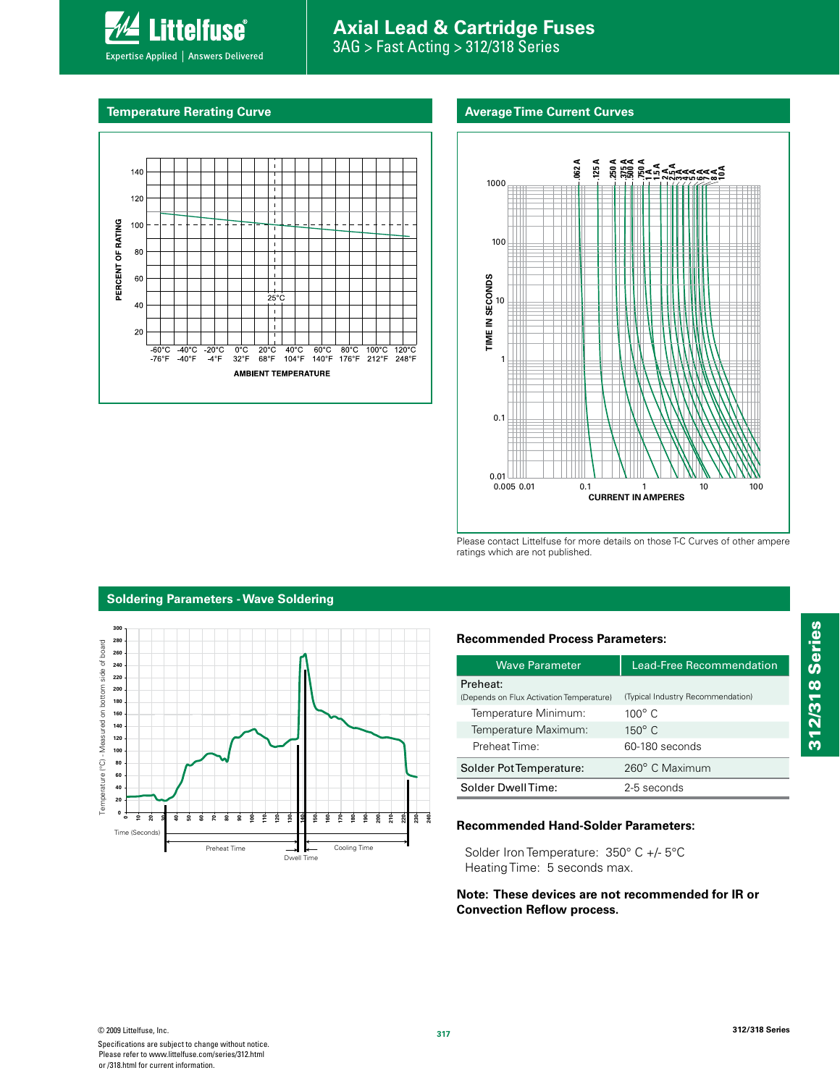

# **Axial Lead & Cartridge Fuses** 3AG > Fast Acting > 312/318 Series

### **Average Time Current Curves**





Please contact Littelfuse for more details on those T-C Curves of other ampere ratings which are not published.



# **Soldering Parameters - Wave Soldering**

### **Recommended Process Parameters:**

| <b>Wave Parameter</b>                                | <b>Lead-Free Recommendation</b>   |  |  |  |
|------------------------------------------------------|-----------------------------------|--|--|--|
| Preheat:<br>(Depends on Flux Activation Temperature) | (Typical Industry Recommendation) |  |  |  |
| Temperature Minimum:                                 | $100^\circ$ C                     |  |  |  |
| Temperature Maximum:                                 | $150^\circ$ C                     |  |  |  |
| Preheat Time:                                        | 60-180 seconds                    |  |  |  |
| Solder Pot Temperature:                              | 260° C Maximum                    |  |  |  |
| Solder DwellTime:                                    | 2-5 seconds                       |  |  |  |

### **Recommended Hand-Solder Parameters:**

Solder Iron Temperature: 350° C +/- 5°C Heating Time: 5 seconds max.

**Note: These devices are not recommended for IR or Convection Reflow process.**